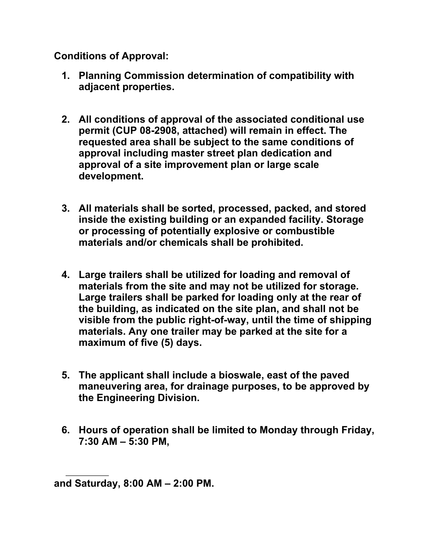**Conditions of Approval:** 

- **1. Planning Commission determination of compatibility with adjacent properties.**
- **2. All conditions of approval of the associated conditional use permit (CUP 08-2908, attached) will remain in effect. The requested area shall be subject to the same conditions of approval including master street plan dedication and approval of a site improvement plan or large scale development.**
- **3. All materials shall be sorted, processed, packed, and stored inside the existing building or an expanded facility. Storage or processing of potentially explosive or combustible materials and/or chemicals shall be prohibited.**
- **4. Large trailers shall be utilized for loading and removal of materials from the site and may not be utilized for storage. Large trailers shall be parked for loading only at the rear of the building, as indicated on the site plan, and shall not be visible from the public right-of-way, until the time of shipping materials. Any one trailer may be parked at the site for a maximum of five (5) days.**
- **5. The applicant shall include a bioswale, east of the paved maneuvering area, for drainage purposes, to be approved by the Engineering Division.**
- **6. Hours of operation shall be limited to Monday through Friday, 7:30 AM – 5:30 PM,**

**and Saturday, 8:00 AM – 2:00 PM.**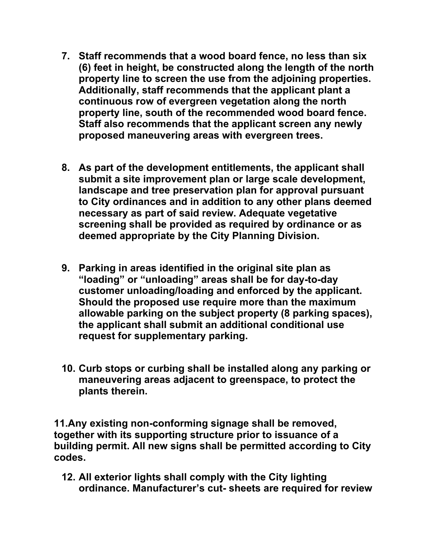- **7. Staff recommends that a wood board fence, no less than six (6) feet in height, be constructed along the length of the north property line to screen the use from the adjoining properties. Additionally, staff recommends that the applicant plant a continuous row of evergreen vegetation along the north property line, south of the recommended wood board fence. Staff also recommends that the applicant screen any newly proposed maneuvering areas with evergreen trees.**
- **8. As part of the development entitlements, the applicant shall submit a site improvement plan or large scale development, landscape and tree preservation plan for approval pursuant to City ordinances and in addition to any other plans deemed necessary as part of said review. Adequate vegetative screening shall be provided as required by ordinance or as deemed appropriate by the City Planning Division.**
- **9. Parking in areas identified in the original site plan as "loading" or "unloading" areas shall be for day-to-day customer unloading/loading and enforced by the applicant. Should the proposed use require more than the maximum allowable parking on the subject property (8 parking spaces), the applicant shall submit an additional conditional use request for supplementary parking.**
- **10. Curb stops or curbing shall be installed along any parking or maneuvering areas adjacent to greenspace, to protect the plants therein.**

**11.Any existing non-conforming signage shall be removed, together with its supporting structure prior to issuance of a building permit. All new signs shall be permitted according to City codes.** 

**12. All exterior lights shall comply with the City lighting ordinance. Manufacturer's cut- sheets are required for review**